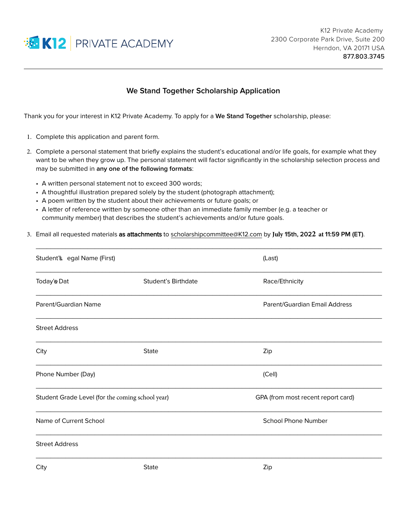

## **We Stand Together Scholarship Application**

Thank you for your interest in K12 Private Academy. To apply for a **We Stand Together** scholarship, please:

- 1. Complete this application and parent form.
- 2. Complete a personal statement that briefly explains the student's educational and/or life goals, for example what they want to be when they grow up. The personal statement will factor significantly in the scholarship selection process and may be submitted in **any one of the following formats**:
	- A written personal statement not to exceed 300 words;
	- A thoughtful illustration prepared solely by the student (photograph attachment);
	- A poem written by the student about their achievements or future goals; or
	- A letter of reference written by someone other than an immediate family member (e.g. a teacher or community member) that describes the student's achievements and/or future goals.
- 3. Email all requested materials as attachments to scholarshipcommittee@K12.com by **July 15th, 2022 at 11:59 PM (ET)**.

| Student's egal Name (First)                      |                     | (Last)                             |
|--------------------------------------------------|---------------------|------------------------------------|
| Today's Dat                                      | Student's Birthdate | Race/Ethnicity                     |
| Parent/Guardian Name                             |                     | Parent/Guardian Email Address      |
| <b>Street Address</b>                            |                     |                                    |
| City                                             | <b>State</b>        | Zip                                |
| Phone Number (Day)                               |                     | (Cell)                             |
| Student Grade Level (for the coming school year) |                     | GPA (from most recent report card) |
| Name of Current School                           |                     | <b>School Phone Number</b>         |
| <b>Street Address</b>                            |                     |                                    |
| City                                             | <b>State</b>        | Zip                                |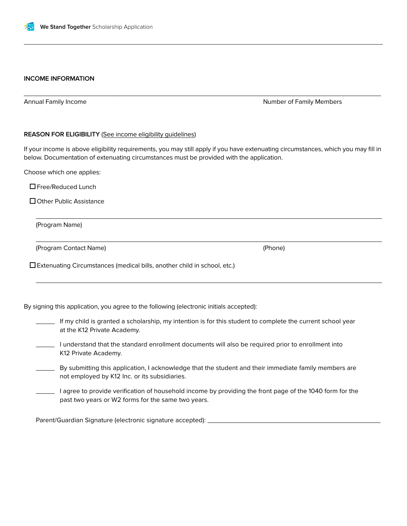## **INCOME INFORMATION**

Annual Family Income **Number of Family Members** Number of Family Members

## **REASON FOR ELIGIBILITY** [\(See income eligibility guidelines\)](https://www.fns.usda.gov/cn/income-eligibility-guidelines)

If your income is above eligibility requirements, you may still apply if you have extenuating circumstances, which you may fill in below. Documentation of extenuating circumstances must be provided with the application.

\_\_\_\_\_\_\_\_\_\_\_\_\_\_\_\_\_\_\_\_\_\_\_\_\_\_\_\_\_\_\_\_\_\_\_\_\_\_\_\_\_\_\_\_\_\_\_\_\_\_\_\_\_\_\_\_\_\_\_\_\_\_\_\_\_\_\_\_\_\_\_\_\_\_\_\_\_\_\_\_\_\_\_\_\_\_\_\_\_\_\_\_\_\_

\_\_\_\_\_\_\_\_\_\_\_\_\_\_\_\_\_\_\_\_\_\_\_\_\_\_\_\_\_\_\_\_\_\_\_\_\_\_\_\_\_\_\_\_\_\_\_\_\_\_\_\_\_\_\_\_\_\_\_\_\_\_\_\_\_\_\_\_\_\_\_\_\_\_\_\_\_\_\_\_\_\_\_\_\_\_\_\_\_\_\_\_\_\_

 $\overline{\phantom{a}}$  , and the contribution of the contribution of the contribution of the contribution of the contribution of the contribution of the contribution of the contribution of the contribution of the contribution of the

\_\_\_\_\_\_\_\_\_\_\_\_\_\_\_\_\_\_\_\_\_\_\_\_\_\_\_\_\_\_\_\_\_\_\_\_\_\_\_\_\_\_\_\_\_\_\_\_\_\_\_\_\_\_\_\_\_\_\_\_\_\_\_\_\_\_\_\_\_\_\_\_\_\_\_\_\_\_\_\_\_\_\_\_\_\_\_\_\_\_\_\_\_\_\_\_\_

Choose which one applies:

□Free/Reduced Lunch

□ Other Public Assistance

(Program Name)

(Program Contact Name) (Phone)

□ Extenuating Circumstances (medical bills, another child in school, etc.)

By signing this application, you agree to the following (electronic initials accepted):

- \_\_\_\_\_ If my child is granted a scholarship, my intention is for this student to complete the current school year at the K12 Private Academy.
- \_\_\_\_\_ I understand that the standard enrollment documents will also be required prior to enrollment into K12 Private Academy.
- \_\_\_\_\_ By submitting this application, I acknowledge that the student and their immediate family members are not employed by K12 Inc. or its subsidiaries.
- I agree to provide verification of household income by providing the front page of the 1040 form for the past two years or W2 forms for the same two years.

Parent/Guardian Signature (electronic signature accepted): \_\_\_\_\_\_\_\_\_\_\_\_\_\_\_\_\_\_\_\_\_